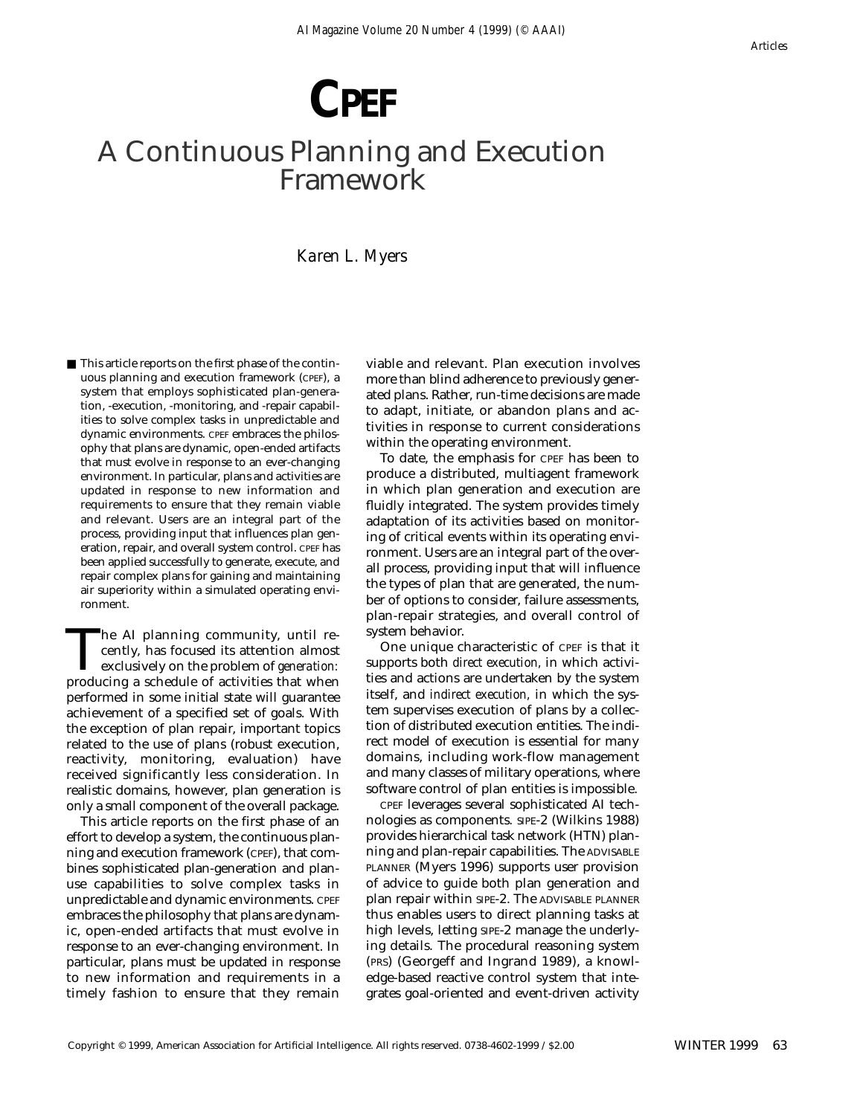# **CPEF**

## A Continuous Planning and Execution Framework

*Karen L. Myers*

■ This article reports on the first phase of the continuous planning and execution framework (CPEF), a system that employs sophisticated plan-generation, -execution, -monitoring, and -repair capabilities to solve complex tasks in unpredictable and dynamic environments. CPEF embraces the philosophy that plans are dynamic, open-ended artifacts that must evolve in response to an ever-changing environment. In particular, plans and activities are updated in response to new information and requirements to ensure that they remain viable and relevant. Users are an integral part of the process, providing input that influences plan generation, repair, and overall system control. CPEF has been applied successfully to generate, execute, and repair complex plans for gaining and maintaining air superiority within a simulated operating environment.

The AI planning community, until recently, has focused its attention almost<br>exclusively on the problem of *generation:*<br>producing a schedule of activities that when cently, has focused its attention almost exclusively on the problem of *generation:* producing a schedule of activities that when performed in some initial state will guarantee achievement of a specified set of goals. With the exception of plan repair, important topics related to the use of plans (robust execution, reactivity, monitoring, evaluation) have received significantly less consideration. In realistic domains, however, plan generation is only a small component of the overall package.

This article reports on the first phase of an effort to develop a system, the continuous planning and execution framework (CPEF), that combines sophisticated plan-generation and planuse capabilities to solve complex tasks in unpredictable and dynamic environments. CPEF embraces the philosophy that plans are dynamic, open-ended artifacts that must evolve in response to an ever-changing environment. In particular, plans must be updated in response to new information and requirements in a timely fashion to ensure that they remain viable and relevant. Plan execution involves more than blind adherence to previously generated plans. Rather, run-time decisions are made to adapt, initiate, or abandon plans and activities in response to current considerations within the operating environment.

To date, the emphasis for CPEF has been to produce a distributed, multiagent framework in which plan generation and execution are fluidly integrated. The system provides timely adaptation of its activities based on monitoring of critical events within its operating environment. Users are an integral part of the overall process, providing input that will influence the types of plan that are generated, the number of options to consider, failure assessments, plan-repair strategies, and overall control of system behavior.

One unique characteristic of CPEF is that it supports both *direct execution,* in which activities and actions are undertaken by the system itself, and *indirect execution,* in which the system supervises execution of plans by a collection of distributed execution entities. The indirect model of execution is essential for many domains, including work-flow management and many classes of military operations, where software control of plan entities is impossible.

CPEF leverages several sophisticated AI technologies as components. SIPE-2 (Wilkins 1988) provides hierarchical task network (HTN) planning and plan-repair capabilities. The ADVISABLE PLANNER (Myers 1996) supports user provision of advice to guide both plan generation and plan repair within SIPE-2. The ADVISABLE PLANNER thus enables users to direct planning tasks at high levels, letting SIPE-2 manage the underlying details. The procedural reasoning system (PRS) (Georgeff and Ingrand 1989), a knowledge-based reactive control system that integrates goal-oriented and event-driven activity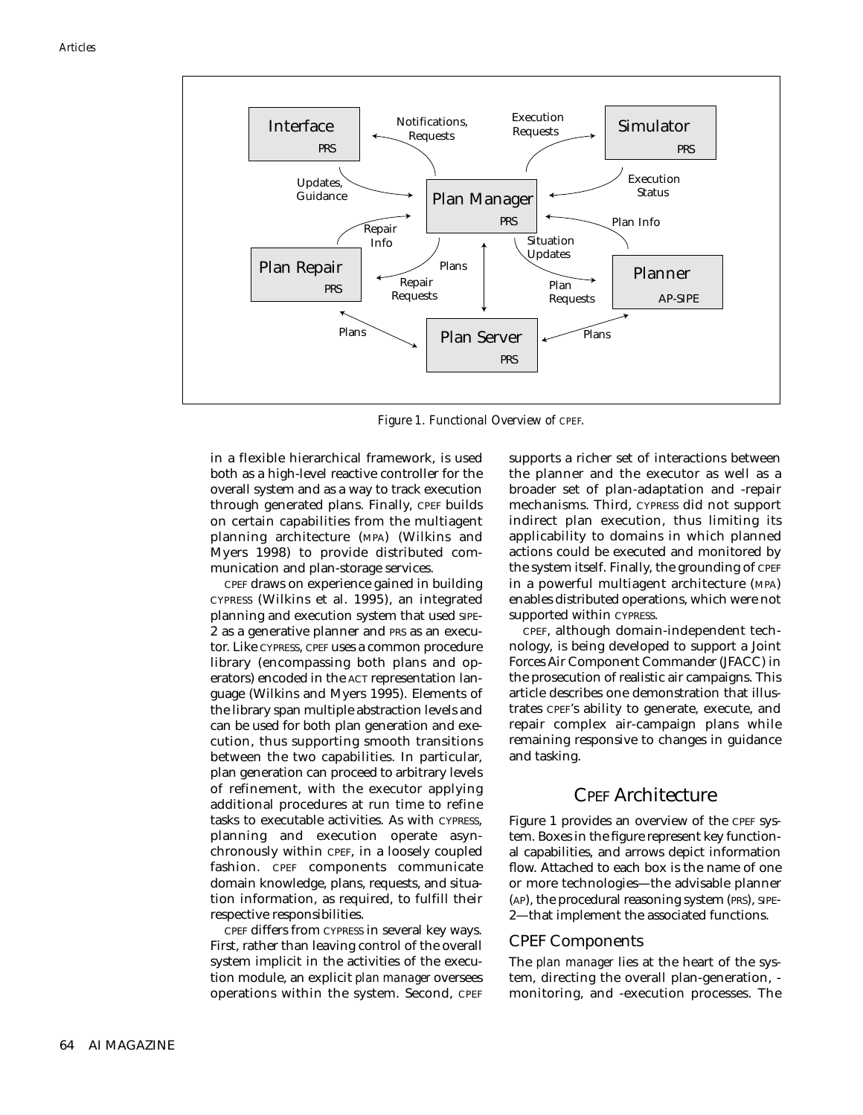

*Figure 1. Functional Overview of CPEF.*

in a flexible hierarchical framework, is used both as a high-level reactive controller for the overall system and as a way to track execution through generated plans. Finally, CPEF builds on certain capabilities from the multiagent planning architecture (MPA) (Wilkins and Myers 1998) to provide distributed communication and plan-storage services.

CPEF draws on experience gained in building CYPRESS (Wilkins et al. 1995), an integrated planning and execution system that used SIPE-2 as a generative planner and PRS as an executor. Like CYPRESS, CPEF uses a common procedure library (encompassing both plans and operators) encoded in the ACT representation language (Wilkins and Myers 1995). Elements of the library span multiple abstraction levels and can be used for both plan generation and execution, thus supporting smooth transitions between the two capabilities. In particular, plan generation can proceed to arbitrary levels of refinement, with the executor applying additional procedures at run time to refine tasks to executable activities. As with CYPRESS, planning and execution operate asynchronously within CPEF, in a loosely coupled fashion. CPEF components communicate domain knowledge, plans, requests, and situation information, as required, to fulfill their respective responsibilities.

CPEF differs from CYPRESS in several key ways. First, rather than leaving control of the overall system implicit in the activities of the execution module, an explicit *plan manager* oversees operations within the system. Second, CPEF supports a richer set of interactions between the planner and the executor as well as a broader set of plan-adaptation and -repair mechanisms. Third, CYPRESS did not support indirect plan execution, thus limiting its applicability to domains in which planned actions could be executed and monitored by the system itself. Finally, the grounding of CPEF in a powerful multiagent architecture (MPA) enables distributed operations, which were not supported within CYPRESS.

CPEF, although domain-independent technology, is being developed to support a Joint Forces Air Component Commander (JFACC) in the prosecution of realistic air campaigns. This article describes one demonstration that illustrates CPEF's ability to generate, execute, and repair complex air-campaign plans while remaining responsive to changes in guidance and tasking.

#### CPEF Architecture

Figure 1 provides an overview of the CPEF system. Boxes in the figure represent key functional capabilities, and arrows depict information flow. Attached to each box is the name of one or more technologies—the advisable planner (AP), the procedural reasoning system (PRS), SIPE-2—that implement the associated functions.

#### CPEF Components

The *plan manager* lies at the heart of the system, directing the overall plan-generation, monitoring, and -execution processes. The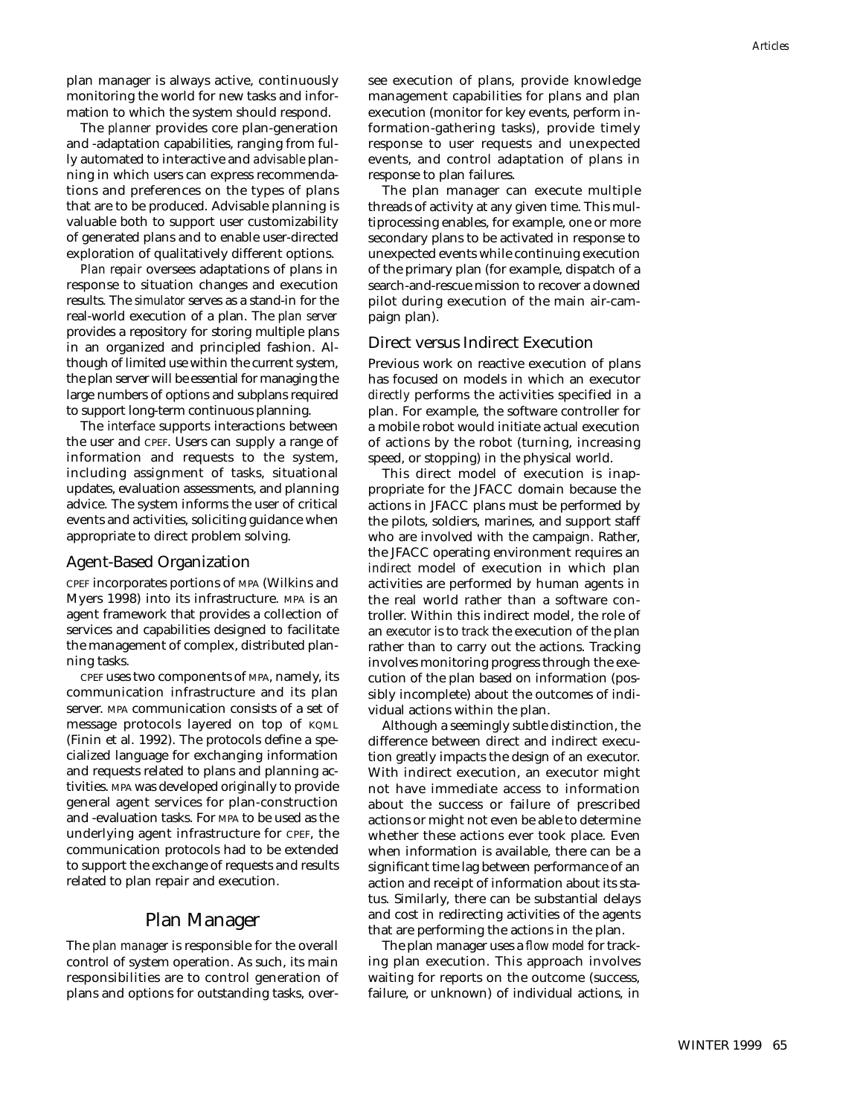plan manager is always active, continuously monitoring the world for new tasks and information to which the system should respond.

The *planner* provides core plan-generation and -adaptation capabilities, ranging from fully automated to interactive and *advisable* planning in which users can express recommendations and preferences on the types of plans that are to be produced. Advisable planning is valuable both to support user customizability of generated plans and to enable user-directed exploration of qualitatively different options.

*Plan repair* oversees adaptations of plans in response to situation changes and execution results. The *simulator* serves as a stand-in for the real-world execution of a plan. The *plan server* provides a repository for storing multiple plans in an organized and principled fashion. Although of limited use within the current system, the plan server will be essential for managing the large numbers of options and subplans required to support long-term continuous planning.

The *interface* supports interactions between the user and CPEF. Users can supply a range of information and requests to the system, including assignment of tasks, situational updates, evaluation assessments, and planning advice. The system informs the user of critical events and activities, soliciting guidance when appropriate to direct problem solving.

#### Agent-Based Organization

CPEF incorporates portions of MPA (Wilkins and Myers 1998) into its infrastructure. MPA is an agent framework that provides a collection of services and capabilities designed to facilitate the management of complex, distributed planning tasks.

CPEF uses two components of MPA, namely, its communication infrastructure and its plan server. MPA communication consists of a set of message protocols layered on top of KQML (Finin et al. 1992). The protocols define a specialized language for exchanging information and requests related to plans and planning activities. MPA was developed originally to provide general agent services for plan-construction and -evaluation tasks. For MPA to be used as the underlying agent infrastructure for CPEF, the communication protocols had to be extended to support the exchange of requests and results related to plan repair and execution.

#### Plan Manager

The *plan manager* is responsible for the overall control of system operation. As such, its main responsibilities are to control generation of plans and options for outstanding tasks, oversee execution of plans, provide knowledge management capabilities for plans and plan execution (monitor for key events, perform information-gathering tasks), provide timely response to user requests and unexpected events, and control adaptation of plans in response to plan failures.

The plan manager can execute multiple threads of activity at any given time. This multiprocessing enables, for example, one or more secondary plans to be activated in response to unexpected events while continuing execution of the primary plan (for example, dispatch of a search-and-rescue mission to recover a downed pilot during execution of the main air-campaign plan).

#### Direct versus Indirect Execution

Previous work on reactive execution of plans has focused on models in which an executor *directly* performs the activities specified in a plan. For example, the software controller for a mobile robot would initiate actual execution of actions by the robot (turning, increasing speed, or stopping) in the physical world.

This direct model of execution is inappropriate for the JFACC domain because the actions in JFACC plans must be performed by the pilots, soldiers, marines, and support staff who are involved with the campaign. Rather, the JFACC operating environment requires an *indirect* model of execution in which plan activities are performed by human agents in the real world rather than a software controller. Within this indirect model, the role of an *executor* is to *track* the execution of the plan rather than to carry out the actions. Tracking involves monitoring progress through the execution of the plan based on information (possibly incomplete) about the outcomes of individual actions within the plan.

Although a seemingly subtle distinction, the difference between direct and indirect execution greatly impacts the design of an executor. With indirect execution, an executor might not have immediate access to information about the success or failure of prescribed actions or might not even be able to determine whether these actions ever took place. Even when information is available, there can be a significant time lag between performance of an action and receipt of information about its status. Similarly, there can be substantial delays and cost in redirecting activities of the agents that are performing the actions in the plan.

The plan manager uses a *flow model* for tracking plan execution. This approach involves waiting for reports on the outcome (success, failure, or unknown) of individual actions, in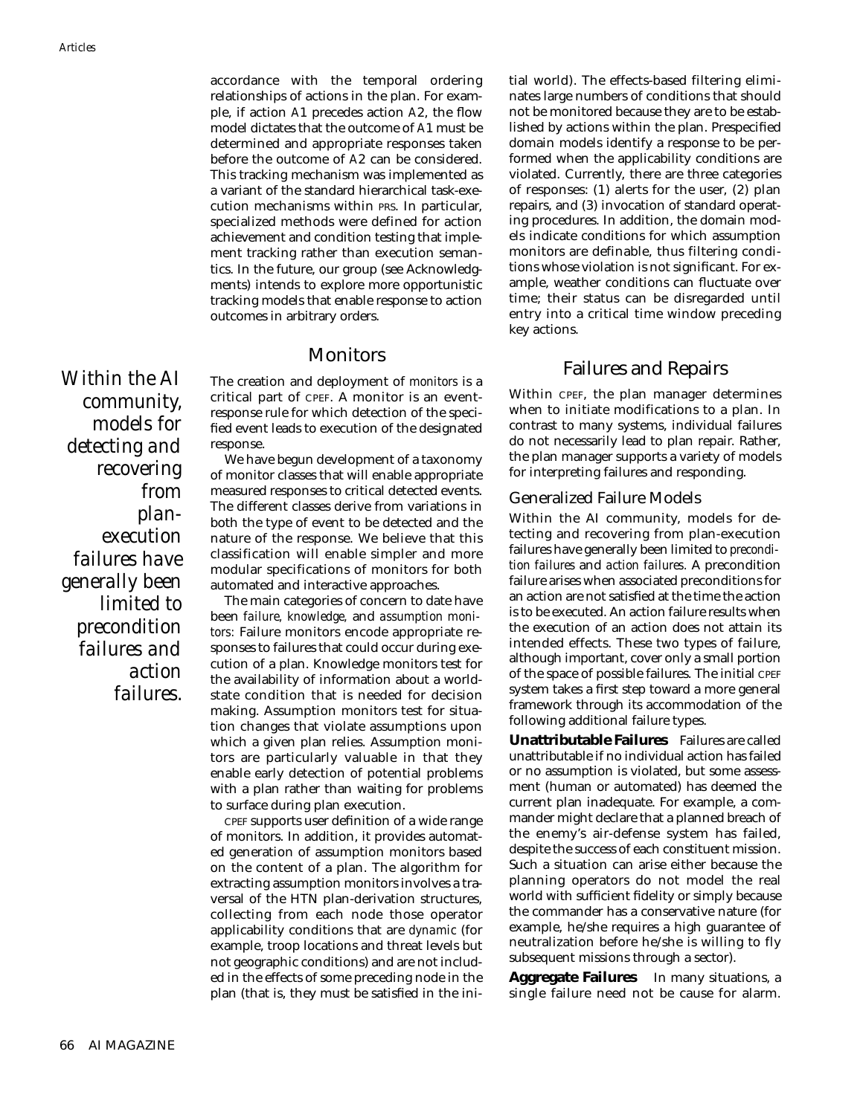accordance with the temporal ordering relationships of actions in the plan. For example, if action *A*1 precedes action *A*2, the flow model dictates that the outcome of *A*1 must be determined and appropriate responses taken before the outcome of *A*2 can be considered. This tracking mechanism was implemented as a variant of the standard hierarchical task-execution mechanisms within PRS. In particular, specialized methods were defined for action achievement and condition testing that implement tracking rather than execution semantics. In the future, our group (see Acknowledgments) intends to explore more opportunistic tracking models that enable response to action outcomes in arbitrary orders.

#### Monitors

The creation and deployment of *monitors* is a critical part of CPEF. A monitor is an eventresponse rule for which detection of the specified event leads to execution of the designated response.

We have begun development of a taxonomy of monitor classes that will enable appropriate measured responses to critical detected events. The different classes derive from variations in both the type of event to be detected and the nature of the response. We believe that this classification will enable simpler and more modular specifications of monitors for both automated and interactive approaches.

The main categories of concern to date have been *failure, knowledge,* and *assumption monitors:* Failure monitors encode appropriate responses to failures that could occur during execution of a plan. Knowledge monitors test for the availability of information about a worldstate condition that is needed for decision making. Assumption monitors test for situation changes that violate assumptions upon which a given plan relies. Assumption monitors are particularly valuable in that they enable early detection of potential problems with a plan rather than waiting for problems to surface during plan execution.

CPEF supports user definition of a wide range of monitors. In addition, it provides automated generation of assumption monitors based on the content of a plan. The algorithm for extracting assumption monitors involves a traversal of the HTN plan-derivation structures, collecting from each node those operator applicability conditions that are *dynamic* (for example, troop locations and threat levels but not geographic conditions) and are not included in the effects of some preceding node in the plan (that is, they must be satisfied in the initial world). The effects-based filtering eliminates large numbers of conditions that should not be monitored because they are to be established by actions within the plan. Prespecified domain models identify a response to be performed when the applicability conditions are violated. Currently, there are three categories of responses: (1) alerts for the user, (2) plan repairs, and (3) invocation of standard operating procedures. In addition, the domain models indicate conditions for which assumption monitors are definable, thus filtering conditions whose violation is not significant. For example, weather conditions can fluctuate over time; their status can be disregarded until entry into a critical time window preceding key actions.

#### Failures and Repairs

Within CPEF, the plan manager determines when to initiate modifications to a plan. In contrast to many systems, individual failures do not necessarily lead to plan repair. Rather, the plan manager supports a variety of models for interpreting failures and responding.

#### Generalized Failure Models

Within the AI community, models for detecting and recovering from plan-execution failures have generally been limited to *precondition failures* and *action failures.* A precondition failure arises when associated preconditions for an action are not satisfied at the time the action is to be executed. An action failure results when the execution of an action does not attain its intended effects. These two types of failure, although important, cover only a small portion of the space of possible failures. The initial CPEF system takes a first step toward a more general framework through its accommodation of the following additional failure types.

**Unattributable Failures** Failures are called unattributable if no individual action has failed or no assumption is violated, but some assessment (human or automated) has deemed the current plan inadequate. For example, a commander might declare that a planned breach of the enemy's air-defense system has failed, despite the success of each constituent mission. Such a situation can arise either because the planning operators do not model the real world with sufficient fidelity or simply because the commander has a conservative nature (for example, he/she requires a high guarantee of neutralization before he/she is willing to fly subsequent missions through a sector).

**Aggregate Failures** In many situations, a single failure need not be cause for alarm.

*community, models for detecting and recovering from planexecution failures have generally been limited to precondition failures and action failures.* 

*Within the AI*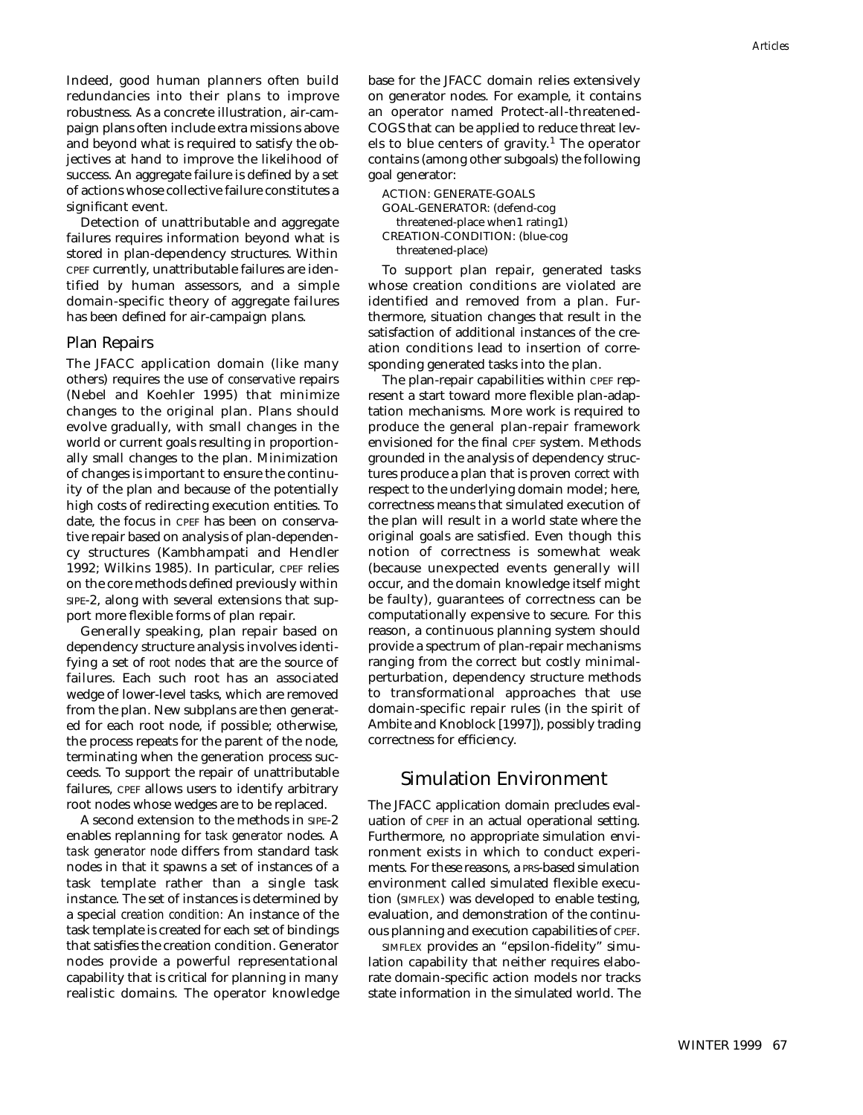Indeed, good human planners often build redundancies into their plans to improve robustness. As a concrete illustration, air-campaign plans often include extra missions above and beyond what is required to satisfy the objectives at hand to improve the likelihood of success. An aggregate failure is defined by a set of actions whose collective failure constitutes a significant event.

Detection of unattributable and aggregate failures r*e*quires information beyond what is stored in plan-dependency structures. Within CPEF currently, unattributable failures are identified by human assessors, and a simple domain-specific theory of aggregate failures has been defined for air-campaign plans.

#### Plan Repairs

The JFACC application domain (like many others) requires the use of *conservative* repairs (Nebel and Koehler 1995) that minimize changes to the original plan. Plans should evolve gradually, with small changes in the world or current goals resulting in proportionally small changes to the plan. Minimization of changes is important to ensure the continuity of the plan and because of the potentially high costs of redirecting execution entities. To date, the focus in CPEF has been on conservative repair based on analysis of plan-dependency structures (Kambhampati and Hendler 1992; Wilkins 1985). In particular, CPEF relies on the core methods defined previously within SIPE-2, along with several extensions that support more flexible forms of plan repair.

Generally speaking, plan repair based on dependency structure analysis involves identifying a set of *root nodes* that are the source of failures. Each such root has an associated wedge of lower-level tasks, which are removed from the plan. New subplans are then generated for each root node, if possible; otherwise, the process repeats for the parent of the node, terminating when the generation process succeeds. To support the repair of unattributable failures, CPEF allows users to identify arbitrary root nodes whose wedges are to be replaced.

A second extension to the methods in SIPE-2 enables replanning for *task generator* nodes. A *task generator node* differs from standard task nodes in that it spawns a set of instances of a task template rather than a single task instance. The set of instances is determined by a special *creation condition:* An instance of the task template is created for each set of bindings that satisfies the creation condition. Generator nodes provide a powerful representational capability that is critical for planning in many realistic domains. The operator knowledge base for the JFACC domain relies extensively on generator nodes. For example, it contains an operator named Protect-all-threatened-COGS that can be applied to reduce threat levels to blue centers of gravity.<sup>1</sup> The operator contains (among other subgoals) the following goal generator:

ACTION: GENERATE-GOALS

GOAL-GENERATOR: (defend-cog threatened-place when1 rating1) CREATION-CONDITION: (blue-cog threatened-place)

To support plan repair, generated tasks whose creation conditions are violated are identified and removed from a plan. Furthermore, situation changes that result in the satisfaction of additional instances of the creation conditions lead to insertion of corresponding generated tasks into the plan.

The plan-repair capabilities within CPEF represent a start toward more flexible plan-adaptation mechanisms. More work is required to produce the general plan-repair framework envisioned for the final CPEF system. Methods grounded in the analysis of dependency structures produce a plan that is proven *correct* with respect to the underlying domain model; here, correctness means that simulated execution of the plan will result in a world state where the original goals are satisfied. Even though this notion of correctness is somewhat weak (because unexpected events generally will occur, and the domain knowledge itself might be faulty), guarantees of correctness can be computationally expensive to secure. For this reason, a continuous planning system should provide a spectrum of plan-repair mechanisms ranging from the correct but costly minimalperturbation, dependency structure methods to transformational approaches that use domain-specific repair rules (in the spirit of Ambite and Knoblock [1997]), possibly trading correctness for efficiency.

#### Simulation Environment

The JFACC application domain precludes evaluation of CPEF in an actual operational setting. Furthermore, no appropriate simulation environment exists in which to conduct experiments. For these reasons, a PRS-based simulation environment called simulated flexible execution (SIMFLEX) was developed to enable testing, evaluation, and demonstration of the continuous planning and execution capabilities of CPEF.

SIMFLEX provides an "epsilon-fidelity" simulation capability that neither requires elaborate domain-specific action models nor tracks state information in the simulated world. The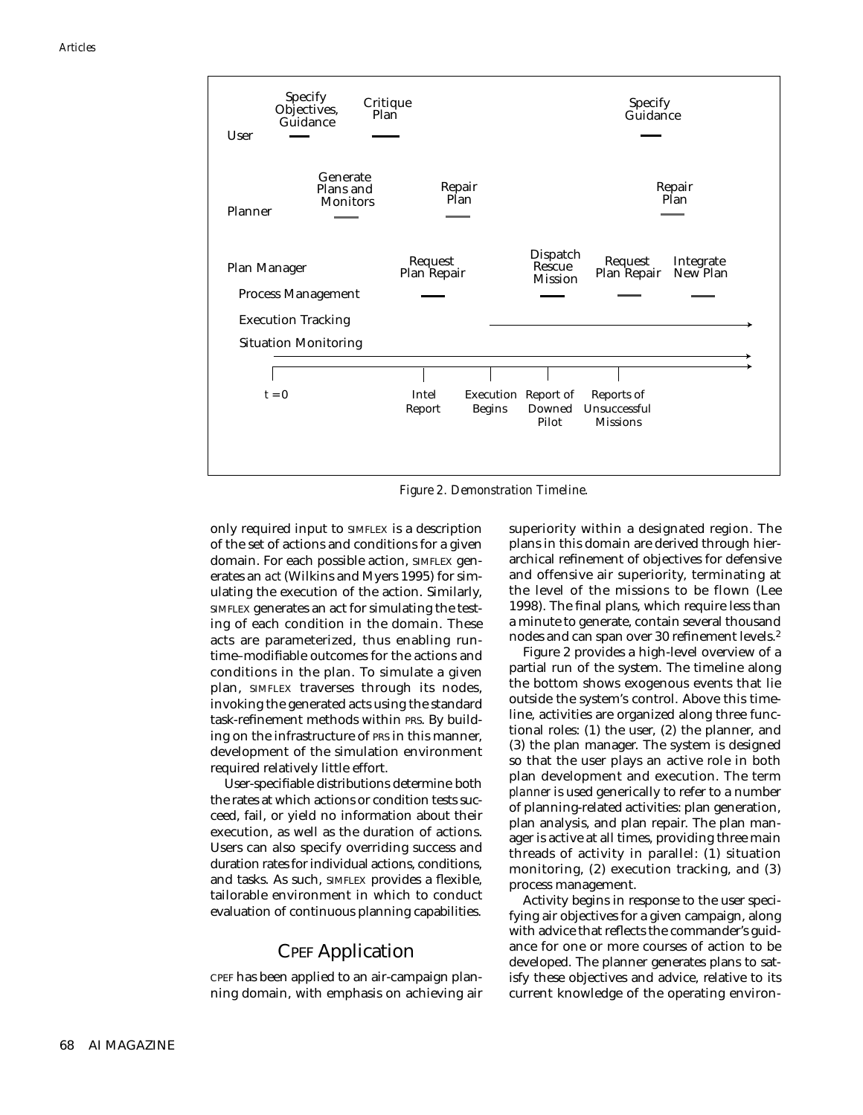

*Figure 2. Demonstration Timeline.*

only required input to SIMFLEX is a description of the set of actions and conditions for a given domain. For each possible action, SIMFLEX generates an *act* (Wilkins and Myers 1995) for simulating the execution of the action. Similarly, SIMFLEX generates an act for simulating the testing of each condition in the domain. These acts are parameterized, thus enabling runtime–modifiable outcomes for the actions and conditions in the plan. To simulate a given plan, SIMFLEX traverses through its nodes, invoking the generated acts using the standard task-refinement methods within PRS. By building on the infrastructure of PRS in this manner, development of the simulation environment required relatively little effort.

User-specifiable distributions determine both the rates at which actions or condition tests succeed, fail, or yield no information about their execution, as well as the duration of actions. Users can also specify overriding success and duration rates for individual actions, conditions, and tasks. As such, SIMFLEX provides a flexible, tailorable environment in which to conduct evaluation of continuous planning capabilities.

#### CPEF Application

CPEF has been applied to an air-campaign planning domain, with emphasis on achieving air superiority within a designated region. The plans in this domain are derived through hierarchical refinement of objectives for defensive and offensive air superiority, terminating at the level of the missions to be flown (Lee 1998). The final plans, which require less than a minute to generate, contain several thousand nodes and can span over 30 refinement levels.<sup>2</sup>

Figure 2 provides a high-level overview of a partial run of the system. The timeline along the bottom shows exogenous events that lie outside the system's control. Above this timeline, activities are organized along three functional roles: (1) the user, (2) the planner, and (3) the plan manager. The system is designed so that the user plays an active role in both plan development and execution. The term *planner* is used generically to refer to a number of planning-related activities: plan generation, plan analysis, and plan repair. The plan manager is active at all times, providing three main threads of activity in parallel: (1) situation monitoring, (2) execution tracking, and (3) process management.

Activity begins in response to the user specifying air objectives for a given campaign, along with advice that reflects the commander's guidance for one or more courses of action to be developed. The planner generates plans to satisfy these objectives and advice, relative to its current knowledge of the operating environ-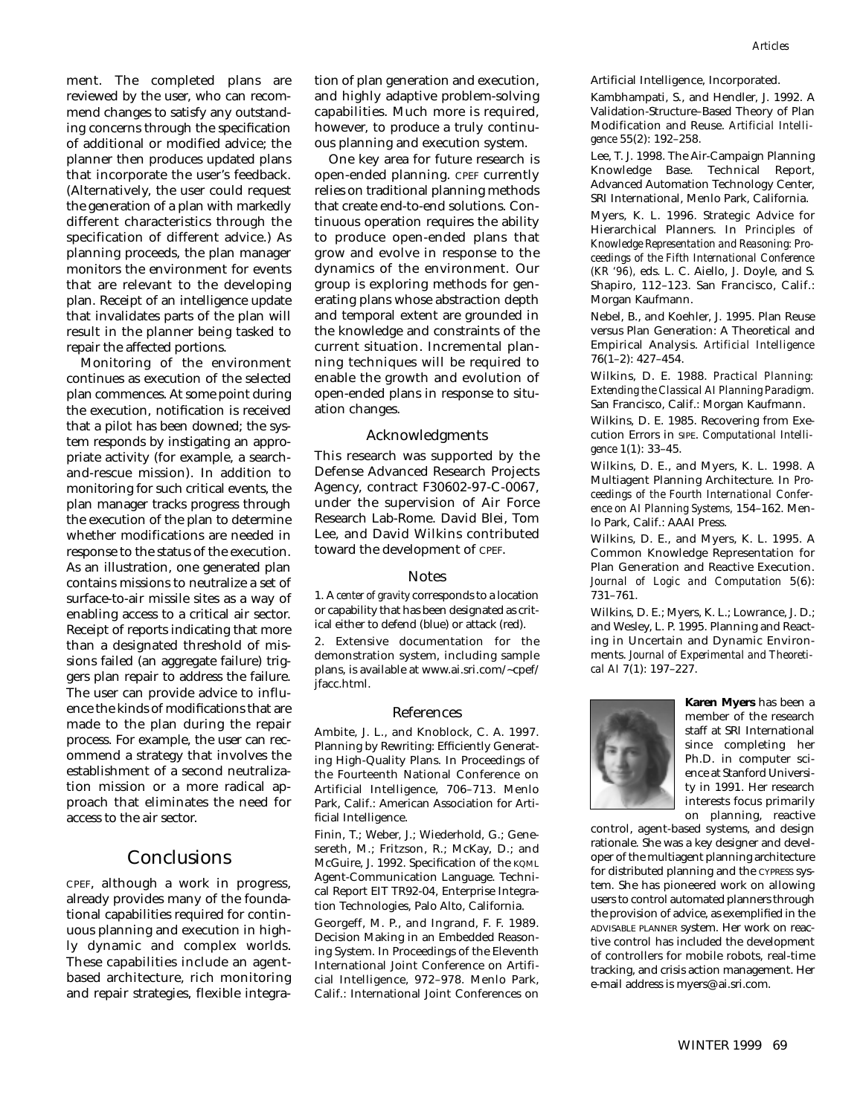*Articles*

ment. The completed plans are reviewed by the user, who can recommend changes to satisfy any outstanding concerns through the specification of additional or modified advice; the planner then produces updated plans that incorporate the user's feedback. (Alternatively, the user could request the generation of a plan with markedly different characteristics through the specification of different advice.) As planning proceeds, the plan manager monitors the environment for events that are relevant to the developing plan. Receipt of an intelligence update that invalidates parts of the plan will result in the planner being tasked to repair the affected portions.

Monitoring of the environment continues as execution of the selected plan commences. At some point during the execution, notification is received that a pilot has been downed; the system responds by instigating an appropriate activity (for example, a searchand-rescue mission). In addition to monitoring for such critical events, the plan manager tracks progress through the execution of the plan to determine whether modifications are needed in response to the status of the execution. As an illustration, one generated plan contains missions to neutralize a set of surface-to-air missile sites as a way of enabling access to a critical air sector. Receipt of reports indicating that more than a designated threshold of missions failed (an aggregate failure) triggers plan repair to address the failure. The user can provide advice to influence the kinds of modifications that are made to the plan during the repair process. For example, the user can recommend a strategy that involves the establishment of a second neutralization mission or a more radical approach that eliminates the need for access to the air sector.

#### **Conclusions**

CPEF, although a work in progress, already provides many of the foundational capabilities required for continuous planning and execution in highly dynamic and complex worlds. These capabilities include an agentbased architecture, rich monitoring and repair strategies, flexible integration of plan generation and execution, and highly adaptive problem-solving capabilities. Much more is required, however, to produce a truly continuous planning and execution system.

One key area for future research is open-ended planning. CPEF currently relies on traditional planning methods that create end-to-end solutions. Continuous operation requires the ability to produce open-ended plans that grow and evolve in response to the dynamics of the environment. Our group is exploring methods for generating plans whose abstraction depth and temporal extent are grounded in the knowledge and constraints of the current situation. Incremental planning techniques will be required to enable the growth and evolution of open-ended plans in response to situation changes.

#### Acknowledgments

This research was supported by the Defense Advanced Research Projects Agency, contract F30602-97-C-0067, under the supervision of Air Force Research Lab-Rome. David Blei, Tom Lee, and David Wilkins contributed toward the development of CPEF.

#### Notes

1. A *center of gravity* corresponds to a location or capability that has been designated as critical either to defend (blue) or attack (red). 2. Extensive documentation for the demonstration system, including sample plans, is available at www.ai.sri.com/~cpef/

#### References

jfacc.html.

Ambite, J. L., and Knoblock, C. A. 1997. Planning by Rewriting: Efficiently Generating High-Quality Plans. In Proceedings of the Fourteenth National Conference on Artificial Intelligence, 706–713. Menlo Park, Calif.: American Association for Artificial Intelligence.

Finin, T.; Weber, J.; Wiederhold, G.; Genesereth, M.; Fritzson, R.; McKay, D.; and McGuire, J. 1992. Specification of the KQML Agent-Communication Language. Technical Report EIT TR92-04, Enterprise Integration Technologies, Palo Alto, California.

Georgeff, M. P., and Ingrand, F. F. 1989. Decision Making in an Embedded Reasoning System. In Proceedings of the Eleventh International Joint Conference on Artificial Intelligence, 972–978. Menlo Park, Calif.: International Joint Conferences on Artificial Intelligence, Incorporated.

Kambhampati, S., and Hendler, J. 1992. A Validation-Structure–Based Theory of Plan Modification and Reuse. *Artificial Intelligence* 55(2): 192–258.

Lee, T. J. 1998. The Air-Campaign Planning Knowledge Base. Technical Report, Advanced Automation Technology Center, SRI International, Menlo Park, California.

Myers, K. L. 1996. Strategic Advice for Hierarchical Planners. In *Principles of Knowledge Representation and Reasoning: Proceedings of the Fifth International Conference (KR '96),* eds. L. C. Aiello, J. Doyle, and S. Shapiro, 112–123. San Francisco, Calif.: Morgan Kaufmann.

Nebel, B., and Koehler, J. 1995. Plan Reuse versus Plan Generation: A Theoretical and Empirical Analysis. *Artificial Intelligence* 76(1–2): 427–454.

Wilkins, D. E. 1988. *Practical Planning: Extending the Classical AI Planning Paradigm.* San Francisco, Calif.: Morgan Kaufmann.

Wilkins, D. E. 1985. Recovering from Execution Errors in SIPE. *Computational Intelligence* 1(1): 33–45.

Wilkins, D. E., and Myers, K. L. 1998. A Multiagent Planning Architecture. In *Proceedings of the Fourth International Conference on AI Planning Systems,* 154–162. Menlo Park, Calif.: AAAI Press.

Wilkins, D. E., and Myers, K. L. 1995. A Common Knowledge Representation for Plan Generation and Reactive Execution. *Journal of Logic and Computation* 5(6): 731–761.

Wilkins, D. E.; Myers, K. L.; Lowrance, J. D.; and Wesley, L. P. 1995. Planning and Reacting in Uncertain and Dynamic Environments. *Journal of Experimental and Theoretical AI* 7(1): 197–227.



**Karen Myers** has been a member of the research staff at SRI International since completing her Ph.D. in computer science at Stanford University in 1991. Her research interests focus primarily on planning, reactive

control, agent-based systems, and design rationale. She was a key designer and developer of the multiagent planning architecture for distributed planning and the CYPRESS system. She has pioneered work on allowing users to control automated planners through the provision of advice, as exemplified in the ADVISABLE PLANNER system. Her work on reactive control has included the development of controllers for mobile robots, real-time tracking, and crisis action management. Her e-mail address is myers@ ai.sri.com.